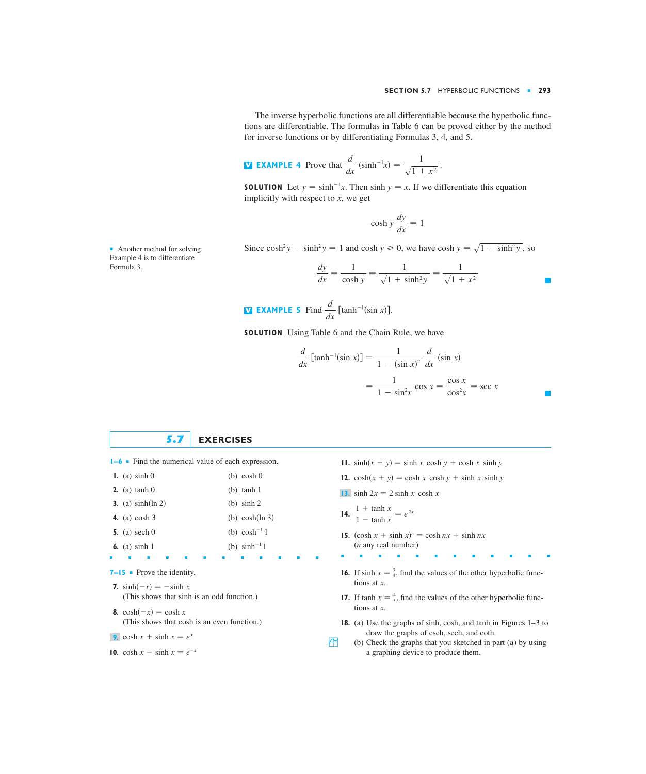■

The inverse hyperbolic functions are all differentiable because the hyperbolic functions are differentiable. The formulas in Table 6 can be proved either by the method for inverse functions or by differentiating Formulas 3, 4, and 5.

**EXAMPLE 4** Prove that 
$$
\frac{d}{dx} (\sinh^{-1}x) = \frac{1}{\sqrt{1 + x^2}}.
$$

**SOLUTION** Let  $y = \sinh^{-1}x$ . Then  $\sinh y = x$ . If we differentiate this equation implicitly with respect to  $x$ , we get

$$
\cosh y \frac{dy}{dx} = 1
$$

Since  $\cosh^2 y - \sinh^2 y = 1$  and  $\cosh y \ge 0$ , we have  $\cosh y = \sqrt{1 + \sinh^2 y}$ , so

$$
\frac{dy}{dx} = \frac{1}{\cosh y} = \frac{1}{\sqrt{1 + \sinh^2 y}} = \frac{1}{\sqrt{1 + x^2}}
$$

**EXAMPLE 5** Find 
$$
\frac{d}{dx}
$$
 [tanh<sup>-1</sup>(sin x)].

**SOLUTION** Using Table 6 and the Chain Rule, we have

$$
\frac{d}{dx} \left[ \tanh^{-1}(\sin x) \right] = \frac{1}{1 - (\sin x)^2} \frac{d}{dx} (\sin x)
$$

$$
= \frac{1}{1 - \sin^2 x} \cos x = \frac{\cos x}{\cos^2 x} = \sec x
$$

## **5.7 EXERCISES**

■■■■■■■■■■■■

- **1–6** Find the numerical value of each expression. **11.**  $\sinh(x + y) = \sinh x \cosh y + \cosh x \sinh y$
- **1.** (a)  $\sinh 0$ **2.** (a)  $\tanh 0$  $(b)$  tanh 1  $(b)$  cosh 0
- **3.** (a)  $sinh(ln 2)$ (b) sinh  $2$
- **4.** (a)  $cosh 3$ (b)  $\cosh(\ln 3)$
- **5.** (a)  $\operatorname{sech} 0$ (b)  $cosh^{-1} 1$
- **6.** (a)  $\sinh 1$ (b)  $sinh^{-1} 1$
- **7–15** Prove the identity.

**7.**  $sinh(-x) = -sinh x$ (This shows that sinh is an odd function.)

- **8.**  $\cosh(-x) = \cosh x$ (This shows that cosh is an even function.)
- **9.**  $\cosh x + \sinh x = e^x$
- **10.**  $\cosh x \sinh x = e^{-x}$
- 
- **12.**  $\cosh(x + y) = \cosh x \cosh y + \sinh x \sinh y$
- 13. sinh  $2x = 2 \sinh x \cosh x$
- **14.**  $\frac{1 + \tanh x}{1 \tanh x} = e^{2x}$
- **15.**  $(\cosh x + \sinh x)^n = \cosh nx + \sinh nx$ (*n* any real number)
- ■■■■■■■■■■■■
- **16.** If  $\sinh x = \frac{3}{4}$ , find the values of the other hyperbolic functions at *x*.
- **17.** If  $\tanh x = \frac{4}{5}$ , find the values of the other hyperbolic functions at *x*.
- **18.** (a) Use the graphs of sinh, cosh, and tanh in Figures 1–3 to draw the graphs of csch, sech, and coth.
- $\bigoplus$  (b) Check the graphs that you sketched in part (a) by using a graphing device to produce them.

■ Another method for solving Example 4 is to differentiate Formula 3.